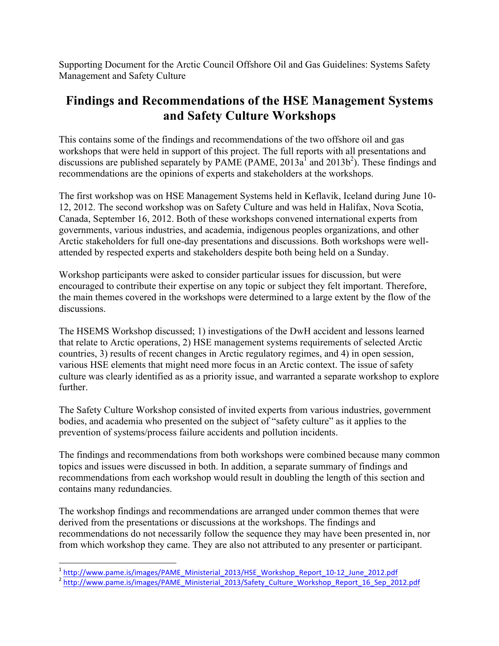Supporting Document for the Arctic Council Offshore Oil and Gas Guidelines: Systems Safety Management and Safety Culture

# **Findings and Recommendations of the HSE Management Systems and Safety Culture Workshops**

This contains some of the findings and recommendations of the two offshore oil and gas workshops that were held in support of this project. The full reports with all presentations and discussions are published separately by PAME (PAME,  $2013a^1$  and  $2013b^2$ ). These findings and recommendations are the opinions of experts and stakeholders at the workshops.

The first workshop was on HSE Management Systems held in Keflavik, Iceland during June 10- 12, 2012. The second workshop was on Safety Culture and was held in Halifax, Nova Scotia, Canada, September 16, 2012. Both of these workshops convened international experts from governments, various industries, and academia, indigenous peoples organizations, and other Arctic stakeholders for full one-day presentations and discussions. Both workshops were wellattended by respected experts and stakeholders despite both being held on a Sunday.

Workshop participants were asked to consider particular issues for discussion, but were encouraged to contribute their expertise on any topic or subject they felt important. Therefore, the main themes covered in the workshops were determined to a large extent by the flow of the discussions.

The HSEMS Workshop discussed; 1) investigations of the DwH accident and lessons learned that relate to Arctic operations, 2) HSE management systems requirements of selected Arctic countries, 3) results of recent changes in Arctic regulatory regimes, and 4) in open session, various HSE elements that might need more focus in an Arctic context. The issue of safety culture was clearly identified as as a priority issue, and warranted a separate workshop to explore **further** 

The Safety Culture Workshop consisted of invited experts from various industries, government bodies, and academia who presented on the subject of "safety culture" as it applies to the prevention of systems/process failure accidents and pollution incidents.

The findings and recommendations from both workshops were combined because many common topics and issues were discussed in both. In addition, a separate summary of findings and recommendations from each workshop would result in doubling the length of this section and contains many redundancies.

The workshop findings and recommendations are arranged under common themes that were derived from the presentations or discussions at the workshops. The findings and recommendations do not necessarily follow the sequence they may have been presented in, nor from which workshop they came. They are also not attributed to any presenter or participant.

<sup>&</sup>lt;sup>1</sup> http://www.pame.is/images/PAME\_Ministerial\_2013/HSE\_Workshop\_Report\_10-12\_June\_2012.pdf<br><sup>2</sup> http://www.pame.is/images/PAME\_Ministerial\_2013/Safety\_Culture\_Workshop\_Report\_16\_Sep\_2012.pdf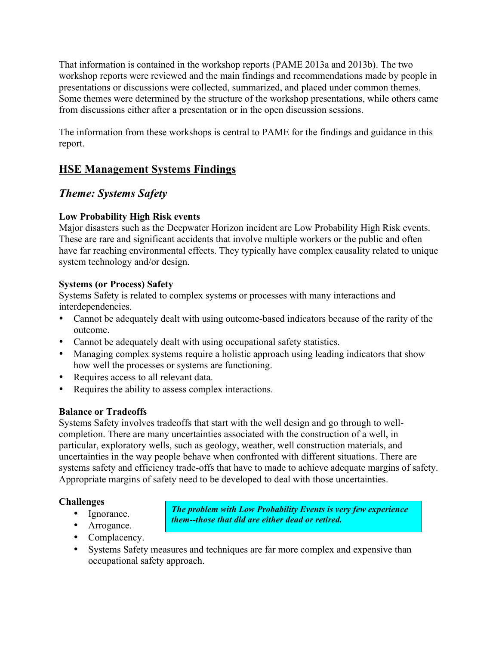That information is contained in the workshop reports (PAME 2013a and 2013b). The two workshop reports were reviewed and the main findings and recommendations made by people in presentations or discussions were collected, summarized, and placed under common themes. Some themes were determined by the structure of the workshop presentations, while others came from discussions either after a presentation or in the open discussion sessions.

The information from these workshops is central to PAME for the findings and guidance in this report.

# **HSE Management Systems Findings**

# *Theme: Systems Safety*

#### **Low Probability High Risk events**

Major disasters such as the Deepwater Horizon incident are Low Probability High Risk events. These are rare and significant accidents that involve multiple workers or the public and often have far reaching environmental effects. They typically have complex causality related to unique system technology and/or design.

#### **Systems (or Process) Safety**

Systems Safety is related to complex systems or processes with many interactions and interdependencies.

- Cannot be adequately dealt with using outcome-based indicators because of the rarity of the outcome.
- Cannot be adequately dealt with using occupational safety statistics.
- Managing complex systems require a holistic approach using leading indicators that show how well the processes or systems are functioning.
- Requires access to all relevant data.
- Requires the ability to assess complex interactions.

## **Balance or Tradeoffs**

Systems Safety involves tradeoffs that start with the well design and go through to wellcompletion. There are many uncertainties associated with the construction of a well, in particular, exploratory wells, such as geology, weather, well construction materials, and uncertainties in the way people behave when confronted with different situations. There are systems safety and efficiency trade-offs that have to made to achieve adequate margins of safety. Appropriate margins of safety need to be developed to deal with those uncertainties.

#### **Challenges**

• Ignorance.

*The problem with Low Probability Events is very few experience them--those that did are either dead or retired.* 

- Arrogance.
- Complacency.
- Systems Safety measures and techniques are far more complex and expensive than occupational safety approach.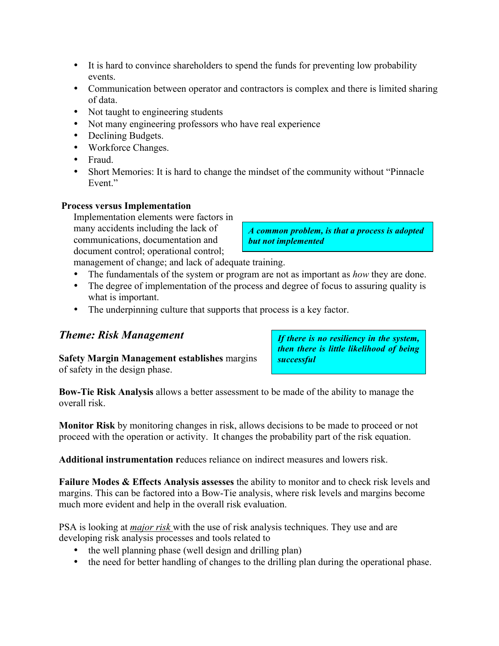- It is hard to convince shareholders to spend the funds for preventing low probability events.
- Communication between operator and contractors is complex and there is limited sharing of data.
- Not taught to engineering students
- Not many engineering professors who have real experience
- Declining Budgets.
- Workforce Changes.
- Fraud.
- Short Memories: It is hard to change the mindset of the community without "Pinnacle" Event<sup>"</sup>

#### **Process versus Implementation**

Implementation elements were factors in many accidents including the lack of communications, documentation and document control; operational control;

*A common problem, is that a process is adopted but not implemented*

management of change; and lack of adequate training.

- The fundamentals of the system or program are not as important as *how* they are done.
- The degree of implementation of the process and degree of focus to assuring quality is what is important.
- The underpinning culture that supports that process is a key factor.

## *Theme: Risk Management*

**Safety Margin Management establishes** margins of safety in the design phase.

*If there is no resiliency in the system, then there is little likelihood of being successful*

**Bow-Tie Risk Analysis** allows a better assessment to be made of the ability to manage the overall risk.

**Monitor Risk** by monitoring changes in risk, allows decisions to be made to proceed or not proceed with the operation or activity. It changes the probability part of the risk equation.

**Additional instrumentation r**educes reliance on indirect measures and lowers risk.

**Failure Modes & Effects Analysis assesses** the ability to monitor and to check risk levels and margins. This can be factored into a Bow-Tie analysis, where risk levels and margins become much more evident and help in the overall risk evaluation.

PSA is looking at *major risk* with the use of risk analysis techniques. They use and are developing risk analysis processes and tools related to

- the well planning phase (well design and drilling plan)
- the need for better handling of changes to the drilling plan during the operational phase.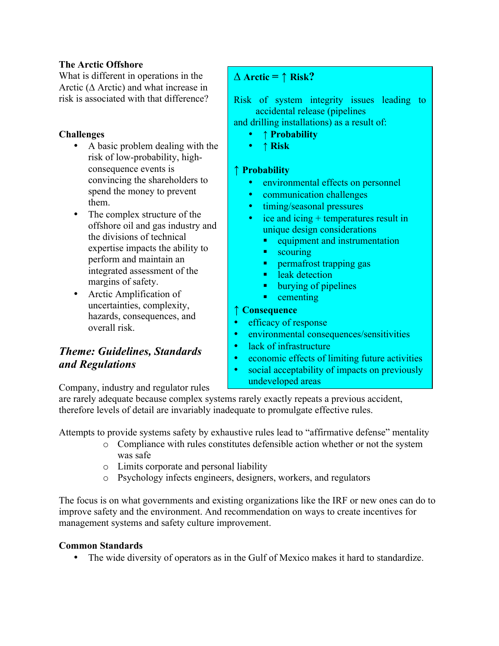#### **The Arctic Offshore**

What is different in operations in the Arctic (**∆** Arctic) and what increase in risk is associated with that difference?

#### **Challenges**

- A basic problem dealing with the risk of low-probability, highconsequence events is convincing the shareholders to spend the money to prevent them.
- The complex structure of the offshore oil and gas industry and the divisions of technical expertise impacts the ability to perform and maintain an integrated assessment of the margins of safety.
- Arctic Amplification of uncertainties, complexity, hazards, consequences, and overall risk.

# *Theme: Guidelines, Standards and Regulations*

 $\Delta$  **Arctic** =  $\uparrow$  **Risk?** 

Risk of system integrity issues leading to accidental release (pipelines

and drilling installations) as a result of:

- **↑ Probability**
- **↑ Risk**

#### **↑ Probability**

- environmental effects on personnel
- communication challenges
- timing/seasonal pressures
- ice and icing + temperatures result in unique design considerations
	- equipment and instrumentation
	- scouring
	- permafrost trapping gas
	- leak detection
	- burying of pipelines
	- cementing

#### **↑ Consequence**

- efficacy of response
- environmental consequences/sensitivities
- lack of infrastructure
- economic effects of limiting future activities
- social acceptability of impacts on previously undeveloped areas

Company, industry and regulator rules

are rarely adequate because complex systems rarely exactly repeats a previous accident, therefore levels of detail are invariably inadequate to promulgate effective rules.

Attempts to provide systems safety by exhaustive rules lead to "affirmative defense" mentality

- o Compliance with rules constitutes defensible action whether or not the system was safe
- o Limits corporate and personal liability
- o Psychology infects engineers, designers, workers, and regulators

The focus is on what governments and existing organizations like the IRF or new ones can do to improve safety and the environment. And recommendation on ways to create incentives for management systems and safety culture improvement.

#### **Common Standards**

• The wide diversity of operators as in the Gulf of Mexico makes it hard to standardize.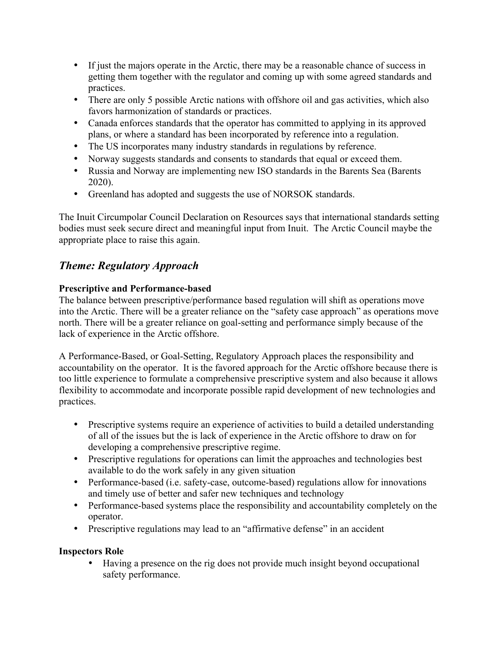- If just the majors operate in the Arctic, there may be a reasonable chance of success in getting them together with the regulator and coming up with some agreed standards and practices.
- There are only 5 possible Arctic nations with offshore oil and gas activities, which also favors harmonization of standards or practices.
- Canada enforces standards that the operator has committed to applying in its approved plans, or where a standard has been incorporated by reference into a regulation.
- The US incorporates many industry standards in regulations by reference.
- Norway suggests standards and consents to standards that equal or exceed them.
- Russia and Norway are implementing new ISO standards in the Barents Sea (Barents 2020).
- Greenland has adopted and suggests the use of NORSOK standards.

The Inuit Circumpolar Council Declaration on Resources says that international standards setting bodies must seek secure direct and meaningful input from Inuit. The Arctic Council maybe the appropriate place to raise this again.

# *Theme: Regulatory Approach*

## **Prescriptive and Performance-based**

The balance between prescriptive/performance based regulation will shift as operations move into the Arctic. There will be a greater reliance on the "safety case approach" as operations move north. There will be a greater reliance on goal-setting and performance simply because of the lack of experience in the Arctic offshore.

A Performance-Based, or Goal-Setting, Regulatory Approach places the responsibility and accountability on the operator. It is the favored approach for the Arctic offshore because there is too little experience to formulate a comprehensive prescriptive system and also because it allows flexibility to accommodate and incorporate possible rapid development of new technologies and practices.

- Prescriptive systems require an experience of activities to build a detailed understanding of all of the issues but the is lack of experience in the Arctic offshore to draw on for developing a comprehensive prescriptive regime.
- Prescriptive regulations for operations can limit the approaches and technologies best available to do the work safely in any given situation
- Performance-based (i.e. safety-case, outcome-based) regulations allow for innovations and timely use of better and safer new techniques and technology
- Performance-based systems place the responsibility and accountability completely on the operator.
- Prescriptive regulations may lead to an "affirmative defense" in an accident

# **Inspectors Role**

• Having a presence on the rig does not provide much insight beyond occupational safety performance.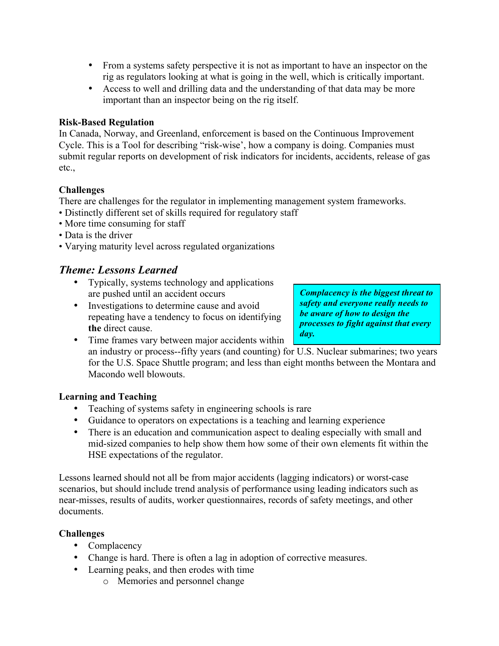- From a systems safety perspective it is not as important to have an inspector on the rig as regulators looking at what is going in the well, which is critically important.
- Access to well and drilling data and the understanding of that data may be more important than an inspector being on the rig itself.

#### **Risk-Based Regulation**

In Canada, Norway, and Greenland, enforcement is based on the Continuous Improvement Cycle. This is a Tool for describing "risk-wise', how a company is doing. Companies must submit regular reports on development of risk indicators for incidents, accidents, release of gas etc.,

#### **Challenges**

There are challenges for the regulator in implementing management system frameworks.

- Distinctly different set of skills required for regulatory staff
- More time consuming for staff
- Data is the driver
- Varying maturity level across regulated organizations

# *Theme: Lessons Learned*

- Typically, systems technology and applications are pushed until an accident occurs
- Investigations to determine cause and avoid repeating have a tendency to focus on identifying **the** direct cause.

*Complacency is the biggest threat to safety and everyone really needs to be aware of how to design the processes to fight against that every day.*

• Time frames vary between major accidents within an industry or process--fifty years (and counting) for U.S. Nuclear submarines; two years for the U.S. Space Shuttle program; and less than eight months between the Montara and Macondo well blowouts.

#### **Learning and Teaching**

- Teaching of systems safety in engineering schools is rare
- Guidance to operators on expectations is a teaching and learning experience
- There is an education and communication aspect to dealing especially with small and mid-sized companies to help show them how some of their own elements fit within the HSE expectations of the regulator.

Lessons learned should not all be from major accidents (lagging indicators) or worst-case scenarios, but should include trend analysis of performance using leading indicators such as near-misses, results of audits, worker questionnaires, records of safety meetings, and other documents.

## **Challenges**

- Complacency
- Change is hard. There is often a lag in adoption of corrective measures.
- Learning peaks, and then erodes with time
	- o Memories and personnel change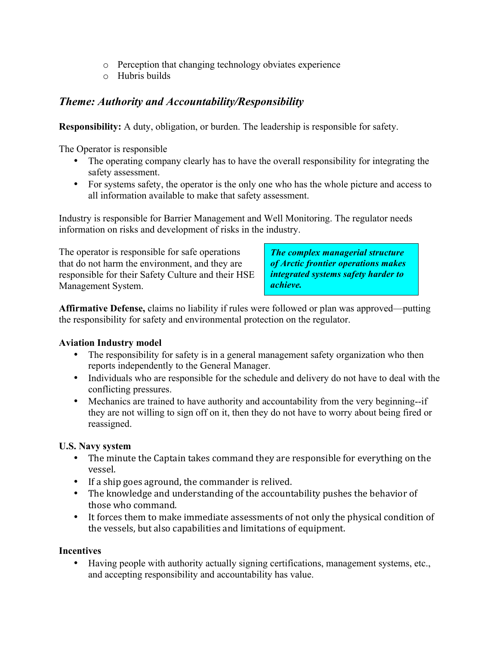- o Perception that changing technology obviates experience
- o Hubris builds

# *Theme: Authority and Accountability/Responsibility*

**Responsibility:** A duty, obligation, or burden. The leadership is responsible for safety.

The Operator is responsible

- The operating company clearly has to have the overall responsibility for integrating the safety assessment.
- For systems safety, the operator is the only one who has the whole picture and access to all information available to make that safety assessment.

Industry is responsible for Barrier Management and Well Monitoring. The regulator needs information on risks and development of risks in the industry.

The operator is responsible for safe operations that do not harm the environment, and they are responsible for their Safety Culture and their HSE Management System.

*The complex managerial structure of Arctic frontier operations makes integrated systems safety harder to achieve.*

**Affirmative Defense,** claims no liability if rules were followed or plan was approved—putting the responsibility for safety and environmental protection on the regulator.

## **Aviation Industry model**

- The responsibility for safety is in a general management safety organization who then reports independently to the General Manager.
- Individuals who are responsible for the schedule and delivery do not have to deal with the conflicting pressures.
- Mechanics are trained to have authority and accountability from the very beginning--if they are not willing to sign off on it, then they do not have to worry about being fired or reassigned.

## **U.S. Navy system**

- The minute the Captain takes command they are responsible for everything on the vessel.
- If a ship goes aground, the commander is relived.
- The knowledge and understanding of the accountability pushes the behavior of those who command.
- It forces them to make immediate assessments of not only the physical condition of the vessels, but also capabilities and limitations of equipment.

#### **Incentives**

• Having people with authority actually signing certifications, management systems, etc., and accepting responsibility and accountability has value.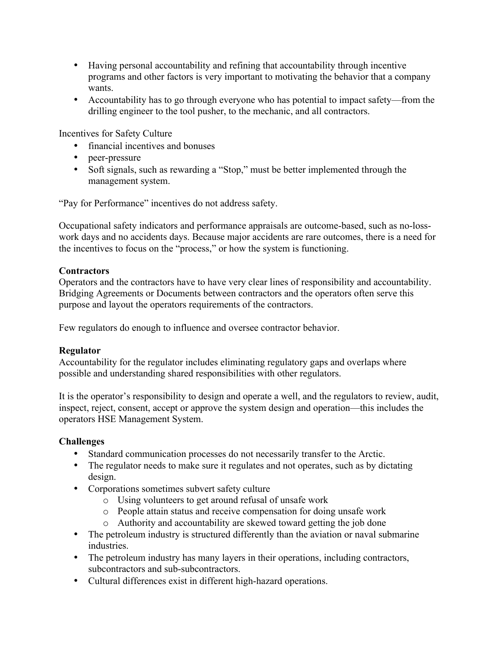- Having personal accountability and refining that accountability through incentive programs and other factors is very important to motivating the behavior that a company wants.
- Accountability has to go through everyone who has potential to impact safety—from the drilling engineer to the tool pusher, to the mechanic, and all contractors.

Incentives for Safety Culture

- financial incentives and bonuses
- peer-pressure
- Soft signals, such as rewarding a "Stop," must be better implemented through the management system.

"Pay for Performance" incentives do not address safety.

Occupational safety indicators and performance appraisals are outcome-based, such as no-losswork days and no accidents days. Because major accidents are rare outcomes, there is a need for the incentives to focus on the "process," or how the system is functioning.

#### **Contractors**

Operators and the contractors have to have very clear lines of responsibility and accountability. Bridging Agreements or Documents between contractors and the operators often serve this purpose and layout the operators requirements of the contractors.

Few regulators do enough to influence and oversee contractor behavior.

## **Regulator**

Accountability for the regulator includes eliminating regulatory gaps and overlaps where possible and understanding shared responsibilities with other regulators.

It is the operator's responsibility to design and operate a well, and the regulators to review, audit, inspect, reject, consent, accept or approve the system design and operation—this includes the operators HSE Management System.

## **Challenges**

- Standard communication processes do not necessarily transfer to the Arctic.
- The regulator needs to make sure it regulates and not operates, such as by dictating design.
- Corporations sometimes subvert safety culture
	- o Using volunteers to get around refusal of unsafe work
	- o People attain status and receive compensation for doing unsafe work
	- o Authority and accountability are skewed toward getting the job done
- The petroleum industry is structured differently than the aviation or naval submarine industries.
- The petroleum industry has many layers in their operations, including contractors, subcontractors and sub-subcontractors.
- Cultural differences exist in different high-hazard operations.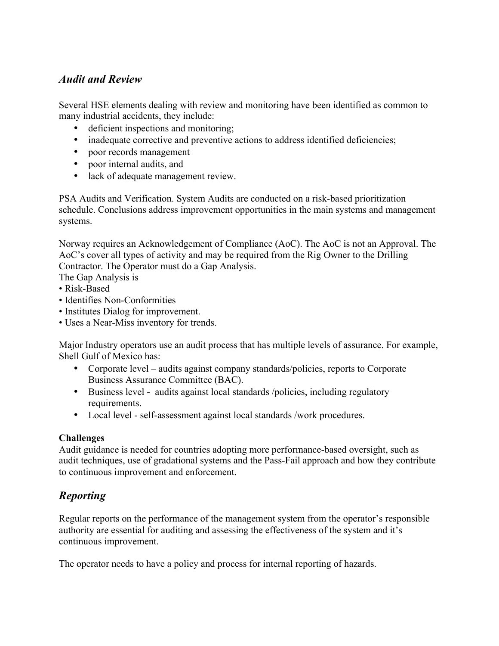# *Audit and Review*

Several HSE elements dealing with review and monitoring have been identified as common to many industrial accidents, they include:

- deficient inspections and monitoring;
- inadequate corrective and preventive actions to address identified deficiencies;
- poor records management
- poor internal audits, and
- lack of adequate management review.

PSA Audits and Verification. System Audits are conducted on a risk-based prioritization schedule. Conclusions address improvement opportunities in the main systems and management systems.

Norway requires an Acknowledgement of Compliance (AoC). The AoC is not an Approval. The AoC's cover all types of activity and may be required from the Rig Owner to the Drilling Contractor. The Operator must do a Gap Analysis.

The Gap Analysis is

- Risk-Based
- Identifies Non-Conformities
- Institutes Dialog for improvement.
- Uses a Near-Miss inventory for trends.

Major Industry operators use an audit process that has multiple levels of assurance. For example, Shell Gulf of Mexico has:

- Corporate level audits against company standards/policies, reports to Corporate Business Assurance Committee (BAC).
- Business level audits against local standards /policies, including regulatory requirements.
- Local level self-assessment against local standards /work procedures.

#### **Challenges**

Audit guidance is needed for countries adopting more performance-based oversight, such as audit techniques, use of gradational systems and the Pass-Fail approach and how they contribute to continuous improvement and enforcement.

# *Reporting*

Regular reports on the performance of the management system from the operator's responsible authority are essential for auditing and assessing the effectiveness of the system and it's continuous improvement.

The operator needs to have a policy and process for internal reporting of hazards.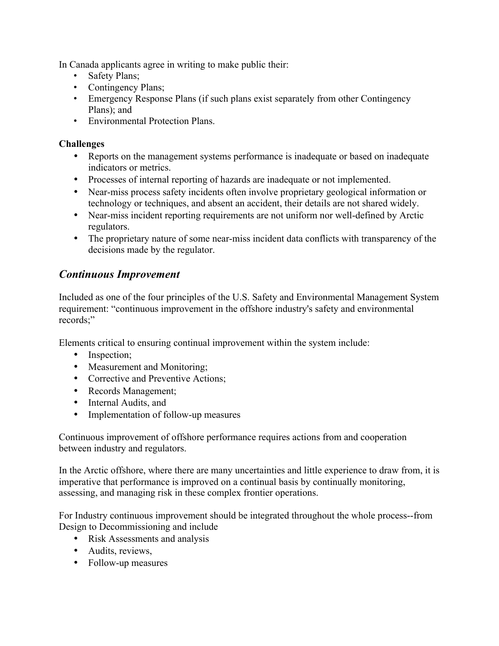In Canada applicants agree in writing to make public their:

- Safety Plans;
- Contingency Plans;
- Emergency Response Plans (if such plans exist separately from other Contingency Plans); and
- Environmental Protection Plans.

### **Challenges**

- Reports on the management systems performance is inadequate or based on inadequate indicators or metrics.
- Processes of internal reporting of hazards are inadequate or not implemented.
- Near-miss process safety incidents often involve proprietary geological information or technology or techniques, and absent an accident, their details are not shared widely.
- Near-miss incident reporting requirements are not uniform nor well-defined by Arctic regulators.
- The proprietary nature of some near-miss incident data conflicts with transparency of the decisions made by the regulator.

# *Continuous Improvement*

Included as one of the four principles of the U.S. Safety and Environmental Management System requirement: "continuous improvement in the offshore industry's safety and environmental records;"

Elements critical to ensuring continual improvement within the system include:

- Inspection;
- Measurement and Monitoring;
- Corrective and Preventive Actions:
- Records Management;
- Internal Audits, and
- Implementation of follow-up measures

Continuous improvement of offshore performance requires actions from and cooperation between industry and regulators.

In the Arctic offshore, where there are many uncertainties and little experience to draw from, it is imperative that performance is improved on a continual basis by continually monitoring, assessing, and managing risk in these complex frontier operations.

For Industry continuous improvement should be integrated throughout the whole process--from Design to Decommissioning and include

- Risk Assessments and analysis
- Audits, reviews,
- Follow-up measures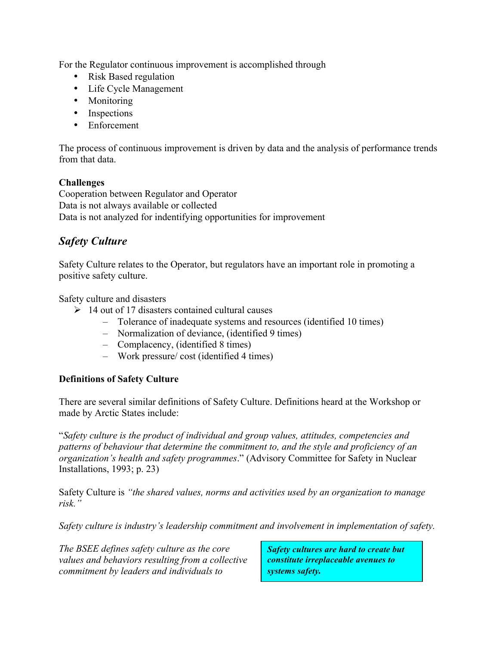For the Regulator continuous improvement is accomplished through

- Risk Based regulation
- Life Cycle Management
- Monitoring
- Inspections
- Enforcement

The process of continuous improvement is driven by data and the analysis of performance trends from that data.

#### **Challenges**

Cooperation between Regulator and Operator Data is not always available or collected Data is not analyzed for indentifying opportunities for improvement

# *Safety Culture*

Safety Culture relates to the Operator, but regulators have an important role in promoting a positive safety culture.

Safety culture and disasters

- $\geq 14$  out of 17 disasters contained cultural causes
	- Tolerance of inadequate systems and resources (identified 10 times)
	- Normalization of deviance, (identified 9 times)
	- Complacency, (identified 8 times)
	- Work pressure/ cost (identified 4 times)

#### **Definitions of Safety Culture**

There are several similar definitions of Safety Culture. Definitions heard at the Workshop or made by Arctic States include:

"*Safety culture is the product of individual and group values, attitudes, competencies and patterns of behaviour that determine the commitment to, and the style and proficiency of an organization's health and safety programmes*." (Advisory Committee for Safety in Nuclear Installations, 1993; p. 23)

Safety Culture is *"the shared values, norms and activities used by an organization to manage risk."*

*Safety culture is industry's leadership commitment and involvement in implementation of safety.* 

*The BSEE defines safety culture as the core values and behaviors resulting from a collective commitment by leaders and individuals to* 

*Safety cultures are hard to create but constitute irreplaceable avenues to systems safety.*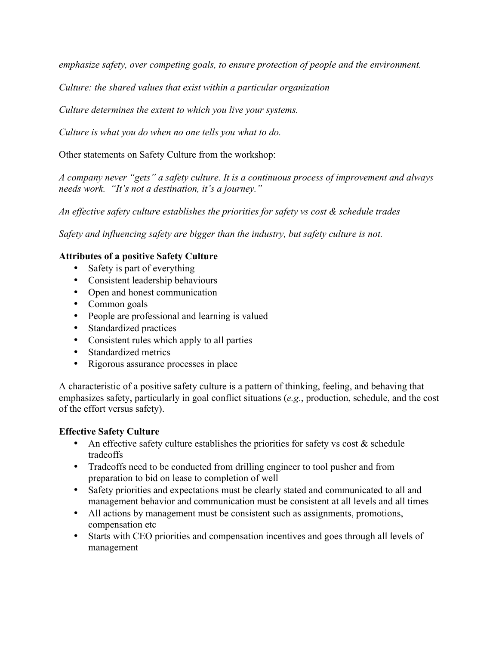*emphasize safety, over competing goals, to ensure protection of people and the environment.*

*Culture: the shared values that exist within a particular organization*

*Culture determines the extent to which you live your systems.*

*Culture is what you do when no one tells you what to do.*

Other statements on Safety Culture from the workshop:

*A company never "gets" a safety culture. It is a continuous process of improvement and always needs work. "It's not a destination, it's a journey."* 

*An effective safety culture establishes the priorities for safety vs cost & schedule trades*

*Safety and influencing safety are bigger than the industry, but safety culture is not.*

#### **Attributes of a positive Safety Culture**

- Safety is part of everything
- Consistent leadership behaviours
- Open and honest communication
- Common goals
- People are professional and learning is valued
- Standardized practices
- Consistent rules which apply to all parties
- Standardized metrics
- Rigorous assurance processes in place

A characteristic of a positive safety culture is a pattern of thinking, feeling, and behaving that emphasizes safety, particularly in goal conflict situations (*e.g*., production, schedule, and the cost of the effort versus safety).

#### **Effective Safety Culture**

- An effective safety culture establishes the priorities for safety vs cost  $\&$  schedule tradeoffs
- Tradeoffs need to be conducted from drilling engineer to tool pusher and from preparation to bid on lease to completion of well
- Safety priorities and expectations must be clearly stated and communicated to all and management behavior and communication must be consistent at all levels and all times
- All actions by management must be consistent such as assignments, promotions, compensation etc
- Starts with CEO priorities and compensation incentives and goes through all levels of management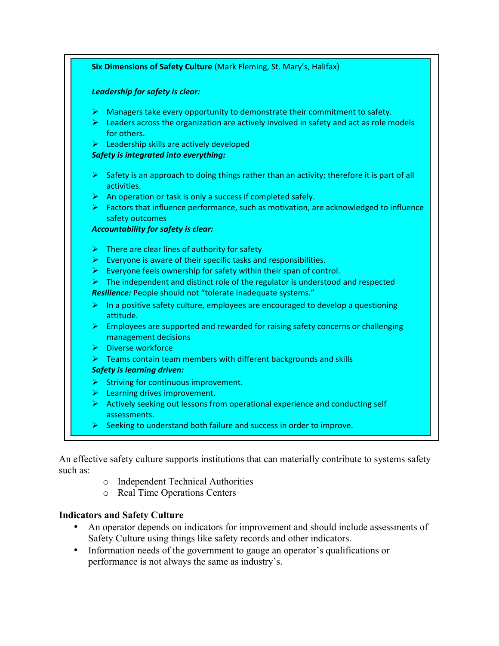| Leadership for safety is clear: |                                                                                                                                                                                        |
|---------------------------------|----------------------------------------------------------------------------------------------------------------------------------------------------------------------------------------|
|                                 | $\triangleright$ Managers take every opportunity to demonstrate their commitment to safety.<br>Eleaders across the organization are actively involved in safety and act as role models |
|                                 | for others.                                                                                                                                                                            |
|                                 | $\triangleright$ Leadership skills are actively developed                                                                                                                              |
|                                 | <b>Safety is integrated into everything:</b>                                                                                                                                           |
|                                 | $\triangleright$ Safety is an approach to doing things rather than an activity; therefore it is part of all<br>activities.                                                             |
| ➤                               | An operation or task is only a success if completed safely.                                                                                                                            |
|                                 | $\triangleright$ Factors that influence performance, such as motivation, are acknowledged to influence<br>safety outcomes                                                              |
|                                 | <b>Accountability for safety is clear:</b>                                                                                                                                             |
|                                 | $\triangleright$ There are clear lines of authority for safety                                                                                                                         |
|                                 | $\triangleright$ Everyone is aware of their specific tasks and responsibilities.                                                                                                       |
|                                 | $\triangleright$ Everyone feels ownership for safety within their span of control.                                                                                                     |
|                                 | $\triangleright$ The independent and distinct role of the regulator is understood and respected                                                                                        |
|                                 | Resilience: People should not "tolerate inadequate systems."                                                                                                                           |
|                                 | $\triangleright$ In a positive safety culture, employees are encouraged to develop a questioning<br>attitude.                                                                          |
|                                 | $\triangleright$ Employees are supported and rewarded for raising safety concerns or challenging<br>management decisions                                                               |
|                                 | > Diverse workforce                                                                                                                                                                    |
|                                 | $\triangleright$ Teams contain team members with different backgrounds and skills                                                                                                      |
|                                 | <b>Safety is learning driven:</b>                                                                                                                                                      |
|                                 | $\triangleright$ Striving for continuous improvement.                                                                                                                                  |
|                                 | $\triangleright$ Learning drives improvement.                                                                                                                                          |
|                                 | $\triangleright$ Actively seeking out lessons from operational experience and conducting self<br>assessments.                                                                          |
|                                 | $\triangleright$ Seeking to understand both failure and success in order to improve.                                                                                                   |

An effective safety culture supports institutions that can materially contribute to systems safety such as:

- o Independent Technical Authorities
- o Real Time Operations Centers

#### **Indicators and Safety Culture**

- An operator depends on indicators for improvement and should include assessments of Safety Culture using things like safety records and other indicators.
- Information needs of the government to gauge an operator's qualifications or performance is not always the same as industry's.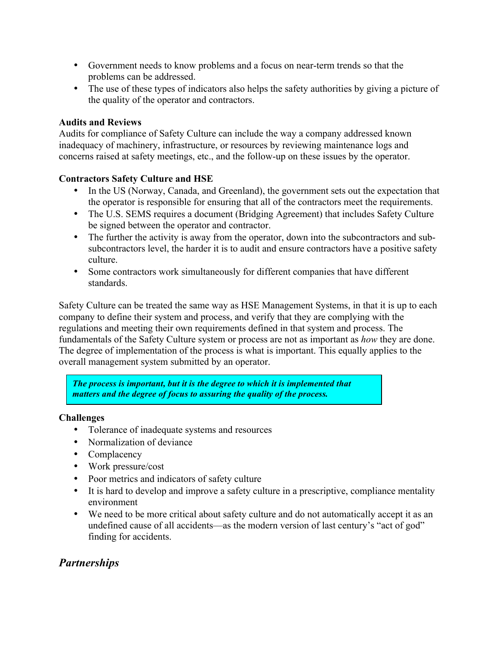- Government needs to know problems and a focus on near-term trends so that the problems can be addressed.
- The use of these types of indicators also helps the safety authorities by giving a picture of the quality of the operator and contractors.

#### **Audits and Reviews**

Audits for compliance of Safety Culture can include the way a company addressed known inadequacy of machinery, infrastructure, or resources by reviewing maintenance logs and concerns raised at safety meetings, etc., and the follow-up on these issues by the operator.

#### **Contractors Safety Culture and HSE**

- In the US (Norway, Canada, and Greenland), the government sets out the expectation that the operator is responsible for ensuring that all of the contractors meet the requirements.
- The U.S. SEMS requires a document (Bridging Agreement) that includes Safety Culture be signed between the operator and contractor.
- The further the activity is away from the operator, down into the subcontractors and subsubcontractors level, the harder it is to audit and ensure contractors have a positive safety culture.
- Some contractors work simultaneously for different companies that have different standards.

Safety Culture can be treated the same way as HSE Management Systems, in that it is up to each company to define their system and process, and verify that they are complying with the regulations and meeting their own requirements defined in that system and process. The fundamentals of the Safety Culture system or process are not as important as *how* they are done. The degree of implementation of the process is what is important. This equally applies to the overall management system submitted by an operator.

*The process is important, but it is the degree to which it is implemented that matters and the degree of focus to assuring the quality of the process.* 

#### **Challenges**

- Tolerance of inadequate systems and resources
- Normalization of deviance
- Complacency
- Work pressure/cost
- Poor metrics and indicators of safety culture
- It is hard to develop and improve a safety culture in a prescriptive, compliance mentality environment
- We need to be more critical about safety culture and do not automatically accept it as an undefined cause of all accidents—as the modern version of last century's "act of god" finding for accidents.

# *Partnerships*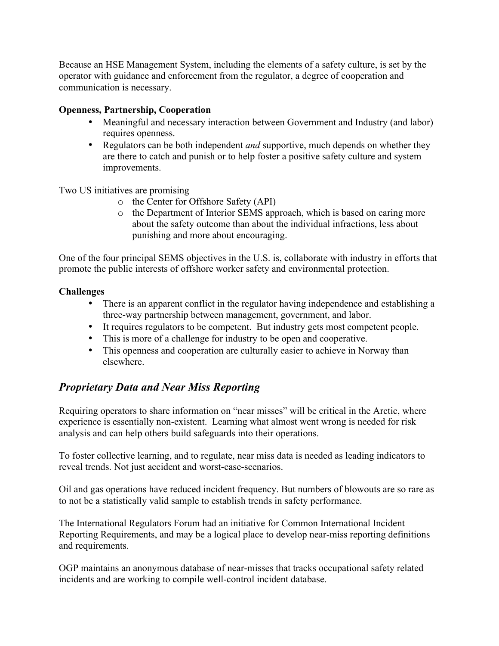Because an HSE Management System, including the elements of a safety culture, is set by the operator with guidance and enforcement from the regulator, a degree of cooperation and communication is necessary.

#### **Openness, Partnership, Cooperation**

- Meaningful and necessary interaction between Government and Industry (and labor) requires openness.
- Regulators can be both independent *and* supportive, much depends on whether they are there to catch and punish or to help foster a positive safety culture and system improvements.

Two US initiatives are promising

- o the Center for Offshore Safety (API)
- o the Department of Interior SEMS approach, which is based on caring more about the safety outcome than about the individual infractions, less about punishing and more about encouraging.

One of the four principal SEMS objectives in the U.S. is, collaborate with industry in efforts that promote the public interests of offshore worker safety and environmental protection.

#### **Challenges**

- There is an apparent conflict in the regulator having independence and establishing a three-way partnership between management, government, and labor.
- It requires regulators to be competent. But industry gets most competent people.
- This is more of a challenge for industry to be open and cooperative.
- This openness and cooperation are culturally easier to achieve in Norway than elsewhere.

# *Proprietary Data and Near Miss Reporting*

Requiring operators to share information on "near misses" will be critical in the Arctic, where experience is essentially non-existent. Learning what almost went wrong is needed for risk analysis and can help others build safeguards into their operations.

To foster collective learning, and to regulate, near miss data is needed as leading indicators to reveal trends. Not just accident and worst-case-scenarios.

Oil and gas operations have reduced incident frequency. But numbers of blowouts are so rare as to not be a statistically valid sample to establish trends in safety performance.

The International Regulators Forum had an initiative for Common International Incident Reporting Requirements, and may be a logical place to develop near-miss reporting definitions and requirements.

OGP maintains an anonymous database of near-misses that tracks occupational safety related incidents and are working to compile well-control incident database.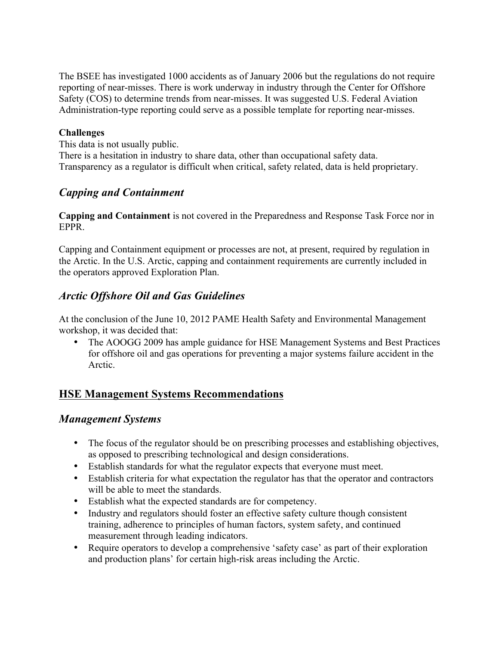The BSEE has investigated 1000 accidents as of January 2006 but the regulations do not require reporting of near-misses. There is work underway in industry through the Center for Offshore Safety (COS) to determine trends from near-misses. It was suggested U.S. Federal Aviation Administration-type reporting could serve as a possible template for reporting near-misses.

#### **Challenges**

This data is not usually public. There is a hesitation in industry to share data, other than occupational safety data. Transparency as a regulator is difficult when critical, safety related, data is held proprietary.

# *Capping and Containment*

**Capping and Containment** is not covered in the Preparedness and Response Task Force nor in EPPR.

Capping and Containment equipment or processes are not, at present, required by regulation in the Arctic. In the U.S. Arctic, capping and containment requirements are currently included in the operators approved Exploration Plan.

# *Arctic Offshore Oil and Gas Guidelines*

At the conclusion of the June 10, 2012 PAME Health Safety and Environmental Management workshop, it was decided that:

• The AOOGG 2009 has ample guidance for HSE Management Systems and Best Practices for offshore oil and gas operations for preventing a major systems failure accident in the Arctic.

# **HSE Management Systems Recommendations**

## *Management Systems*

- The focus of the regulator should be on prescribing processes and establishing objectives, as opposed to prescribing technological and design considerations.
- Establish standards for what the regulator expects that everyone must meet.
- Establish criteria for what expectation the regulator has that the operator and contractors will be able to meet the standards.
- Establish what the expected standards are for competency.
- Industry and regulators should foster an effective safety culture though consistent training, adherence to principles of human factors, system safety, and continued measurement through leading indicators.
- Require operators to develop a comprehensive 'safety case' as part of their exploration and production plans' for certain high-risk areas including the Arctic.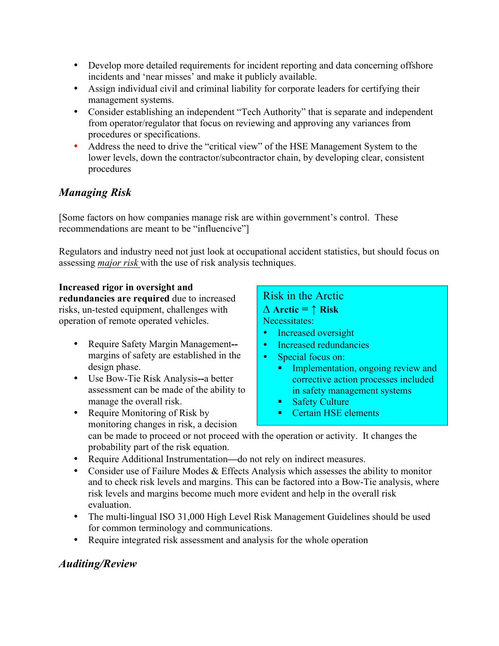- Develop more detailed requirements for incident reporting and data concerning offshore incidents and 'near misses' and make it publicly available.
- Assign individual civil and criminal liability for corporate leaders for certifying their management systems.
- Consider establishing an independent "Tech Authority" that is separate and independent from operator/regulator that focus on reviewing and approving any variances from procedures or specifications.
- Address the need to drive the "critical view" of the HSE Management System to the lower levels, down the contractor/subcontractor chain, by developing clear, consistent procedures

# *Managing Risk*

[Some factors on how companies manage risk are within government's control. These recommendations are meant to be "influencive"]

Regulators and industry need not just look at occupational accident statistics, but should focus on assessing *major risk* with the use of risk analysis techniques.

#### **Increased rigor in oversight and**

**redundancies are required** due to increased risks, un-tested equipment, challenges with operation of remote operated vehicles.

- Require Safety Margin Management**-** margins of safety are established in the design phase.
- Use Bow-Tie Risk Analysis**--**a better assessment can be made of the ability to manage the overall risk.

Risk in the Arctic **∆ Arctic = ↑ Risk**  Necessitates:

- Increased oversight
- Increased redundancies
- Special focus on:
	- Implementation, ongoing review and corrective action processes included in safety management systems
	- Safety Culture
	- Certain HSE elements
- Require Monitoring of Risk by monitoring changes in risk, a decision can be made to proceed or not proceed with the operation or activity. It changes the probability part of the risk equation.
- Require Additional Instrumentation**—**do not rely on indirect measures.
- Consider use of Failure Modes & Effects Analysis which assesses the ability to monitor and to check risk levels and margins. This can be factored into a Bow-Tie analysis, where risk levels and margins become much more evident and help in the overall risk evaluation.
- The multi-lingual ISO 31,000 High Level Risk Management Guidelines should be used for common terminology and communications.
- Require integrated risk assessment and analysis for the whole operation

# *Auditing/Review*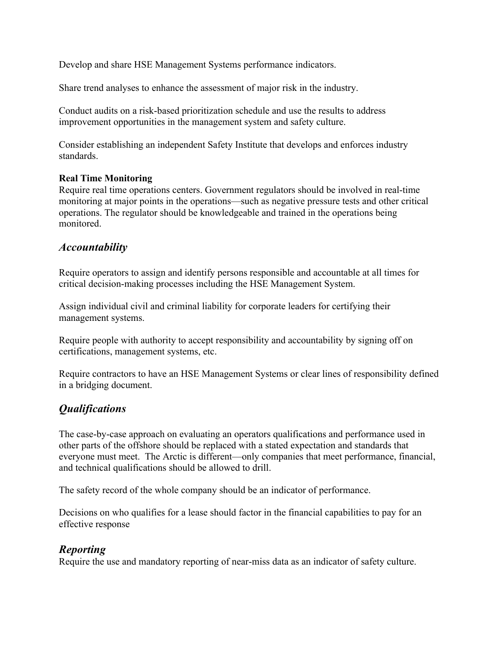Develop and share HSE Management Systems performance indicators.

Share trend analyses to enhance the assessment of major risk in the industry.

Conduct audits on a risk-based prioritization schedule and use the results to address improvement opportunities in the management system and safety culture.

Consider establishing an independent Safety Institute that develops and enforces industry standards.

#### **Real Time Monitoring**

Require real time operations centers. Government regulators should be involved in real-time monitoring at major points in the operations—such as negative pressure tests and other critical operations. The regulator should be knowledgeable and trained in the operations being monitored.

#### *Accountability*

Require operators to assign and identify persons responsible and accountable at all times for critical decision-making processes including the HSE Management System.

Assign individual civil and criminal liability for corporate leaders for certifying their management systems.

Require people with authority to accept responsibility and accountability by signing off on certifications, management systems, etc.

Require contractors to have an HSE Management Systems or clear lines of responsibility defined in a bridging document.

# *Qualifications*

The case-by-case approach on evaluating an operators qualifications and performance used in other parts of the offshore should be replaced with a stated expectation and standards that everyone must meet. The Arctic is different—only companies that meet performance, financial, and technical qualifications should be allowed to drill.

The safety record of the whole company should be an indicator of performance.

Decisions on who qualifies for a lease should factor in the financial capabilities to pay for an effective response

# *Reporting*

Require the use and mandatory reporting of near-miss data as an indicator of safety culture.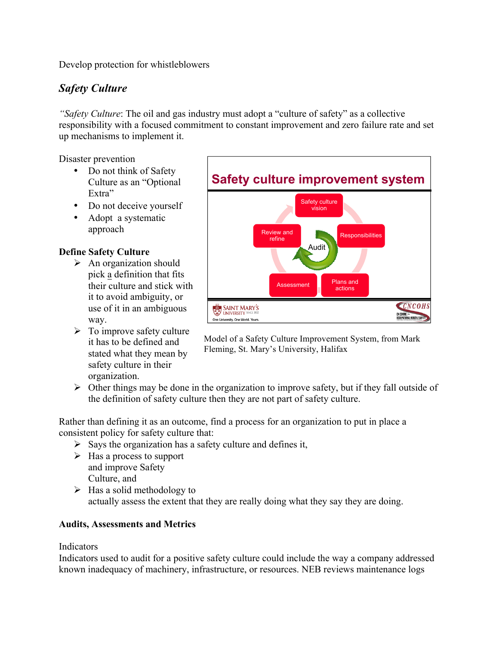Develop protection for whistleblowers

# *Safety Culture*

*"Safety Culture*: The oil and gas industry must adopt a "culture of safety" as a collective responsibility with a focused commitment to constant improvement and zero failure rate and set up mechanisms to implement it.

Disaster prevention

- Do not think of Safety Culture as an "Optional Extra"
- Do not deceive yourself
- Adopt a systematic approach

#### **Define Safety Culture**

- $\triangleright$  An organization should pick a definition that fits their culture and stick with it to avoid ambiguity, or use of it in an ambiguous way.
- $\triangleright$  To improve safety culture it has to be defined and stated what they mean by safety culture in their organization.



Model of a Safety Culture Improvement System, from Mark Fleming, St. Mary's University, Halifax

 $\triangleright$  Other things may be done in the organization to improve safety, but if they fall outside of the definition of safety culture then they are not part of safety culture.

Rather than defining it as an outcome, find a process for an organization to put in place a consistent policy for safety culture that:

- $\triangleright$  Says the organization has a safety culture and defines it,
- $\triangleright$  Has a process to support and improve Safety Culture, and
- $\triangleright$  Has a solid methodology to actually assess the extent that they are really doing what they say they are doing.

#### **Audits, Assessments and Metrics**

#### **Indicators**

Indicators used to audit for a positive safety culture could include the way a company addressed known inadequacy of machinery, infrastructure, or resources. NEB reviews maintenance logs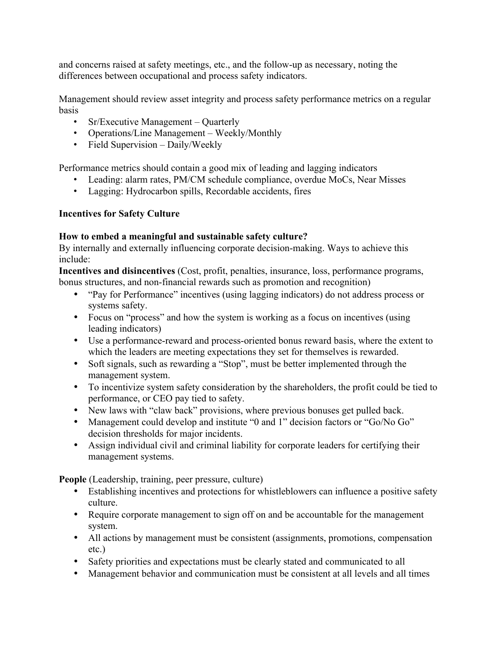and concerns raised at safety meetings, etc., and the follow-up as necessary, noting the differences between occupational and process safety indicators.

Management should review asset integrity and process safety performance metrics on a regular basis

- Sr/Executive Management Quarterly
- Operations/Line Management Weekly/Monthly
- Field Supervision Daily/Weekly

Performance metrics should contain a good mix of leading and lagging indicators

- Leading: alarm rates, PM/CM schedule compliance, overdue MoCs, Near Misses
- Lagging: Hydrocarbon spills, Recordable accidents, fires

#### **Incentives for Safety Culture**

#### **How to embed a meaningful and sustainable safety culture?**

By internally and externally influencing corporate decision-making. Ways to achieve this include:

**Incentives and disincentives** (Cost, profit, penalties, insurance, loss, performance programs, bonus structures, and non-financial rewards such as promotion and recognition)

- "Pay for Performance" incentives (using lagging indicators) do not address process or systems safety.
- Focus on "process" and how the system is working as a focus on incentives (using leading indicators)
- Use a performance-reward and process-oriented bonus reward basis, where the extent to which the leaders are meeting expectations they set for themselves is rewarded.
- Soft signals, such as rewarding a "Stop", must be better implemented through the management system.
- To incentivize system safety consideration by the shareholders, the profit could be tied to performance, or CEO pay tied to safety.
- New laws with "claw back" provisions, where previous bonuses get pulled back.
- Management could develop and institute "0 and 1" decision factors or "Go/No Go" decision thresholds for major incidents.
- Assign individual civil and criminal liability for corporate leaders for certifying their management systems.

**People** (Leadership, training, peer pressure, culture)

- Establishing incentives and protections for whistleblowers can influence a positive safety culture.
- Require corporate management to sign off on and be accountable for the management system.
- All actions by management must be consistent (assignments, promotions, compensation etc.)
- Safety priorities and expectations must be clearly stated and communicated to all
- Management behavior and communication must be consistent at all levels and all times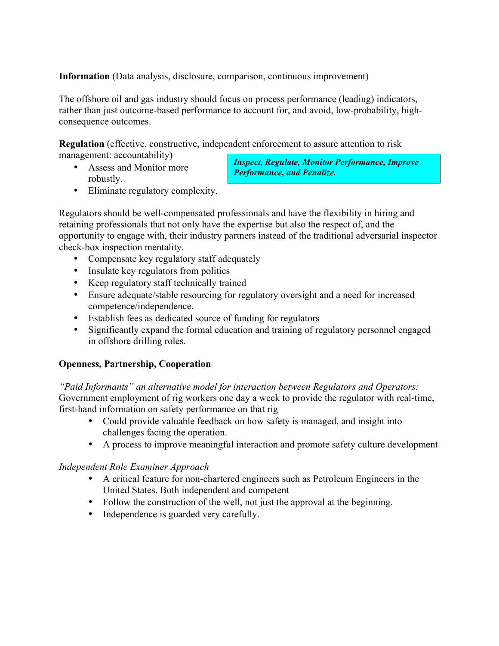**Information** (Data analysis, disclosure, comparison, continuous improvement)

The offshore oil and gas industry should focus on process performance (leading) indicators, rather than just outcome-based performance to account for, and avoid, low-probability, highconsequence outcomes.

**Regulation** (effective, constructive, independent enforcement to assure attention to risk management: accountability)

• Assess and Monitor more robustly.

*Inspect, Regulate, Monitor Performance, Improve Performance, and Penalize.*

• Eliminate regulatory complexity.

Regulators should be well-compensated professionals and have the flexibility in hiring and retaining professionals that not only have the expertise but also the respect of, and the opportunity to engage with, their industry partners instead of the traditional adversarial inspector check-box inspection mentality.

- Compensate key regulatory staff adequately
- Insulate key regulators from politics
- Keep regulatory staff technically trained
- Ensure adequate/stable resourcing for regulatory oversight and a need for increased competence/independence.
- Establish fees as dedicated source of funding for regulators
- Significantly expand the formal education and training of regulatory personnel engaged in offshore drilling roles.

#### **Openness, Partnership, Cooperation**

*"Paid Informants" an alternative model for interaction between Regulators and Operators:*  Government employment of rig workers one day a week to provide the regulator with real-time, first-hand information on safety performance on that rig

- Could provide valuable feedback on how safety is managed, and insight into challenges facing the operation.
- A process to improve meaningful interaction and promote safety culture development

#### *Independent Role Examiner Approach*

- A critical feature for non-chartered engineers such as Petroleum Engineers in the United States. Both independent and competent
- Follow the construction of the well, not just the approval at the beginning.
- Independence is guarded very carefully.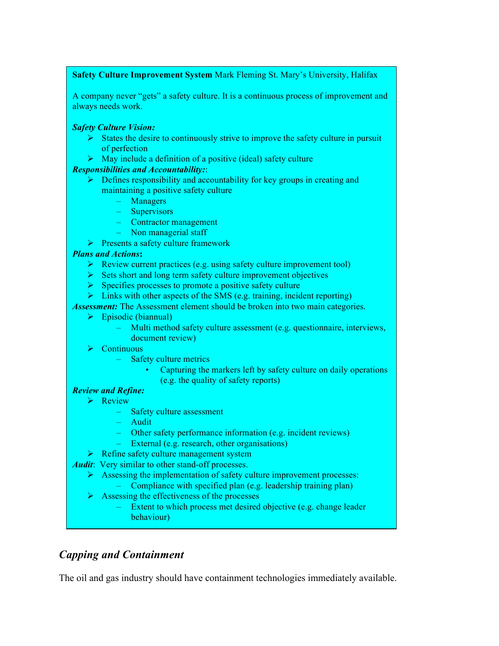#### **Safety Culture Improvement System** Mark Fleming St. Mary's University, Halifax

A company never "gets" a safety culture. It is a continuous process of improvement and always needs work.

#### *Safety Culture Vision:*

- $\triangleright$  States the desire to continuously strive to improve the safety culture in pursuit of perfection
- $\triangleright$  May include a definition of a positive (ideal) safety culture

#### *Responsibilities and Accountability:*:

- $\triangleright$  Defines responsibility and accountability for key groups in creating and maintaining a positive safety culture
	- Managers
	- Supervisors
	- Contractor management
	- Non managerial staff
- $\triangleright$  Presents a safety culture framework

#### *Plans and Actions***:**

- $\triangleright$  Review current practices (e.g. using safety culture improvement tool)
- $\triangleright$  Sets short and long term safety culture improvement objectives
- $\triangleright$  Specifies processes to promote a positive safety culture
- $\triangleright$  Links with other aspects of the SMS (e.g. training, incident reporting)

*Assessment:* The Assessment element should be broken into two main categories.

- $\triangleright$  Episodic (biannual)
	- Multi method safety culture assessment (e.g. questionnaire, interviews, document review)
- $\triangleright$  Continuous
	- Safety culture metrics
		- Capturing the markers left by safety culture on daily operations (e.g. the quality of safety reports)

#### *Review and Refine:*

- $\triangleright$  Review
	- Safety culture assessment
	- Audit
	- Other safety performance information (e.g. incident reviews)
	- External (e.g. research, other organisations)
- **EXECUTE:** Refine safety culture management system
- *Audit*: Very similar to other stand-off processes.
	- $\triangleright$  Assessing the implementation of safety culture improvement processes:
		- Compliance with specified plan (e.g. leadership training plan)
	- $\triangleright$  Assessing the effectiveness of the processes
		- Extent to which process met desired objective (e.g. change leader behaviour)

# *Capping and Containment*

The oil and gas industry should have containment technologies immediately available.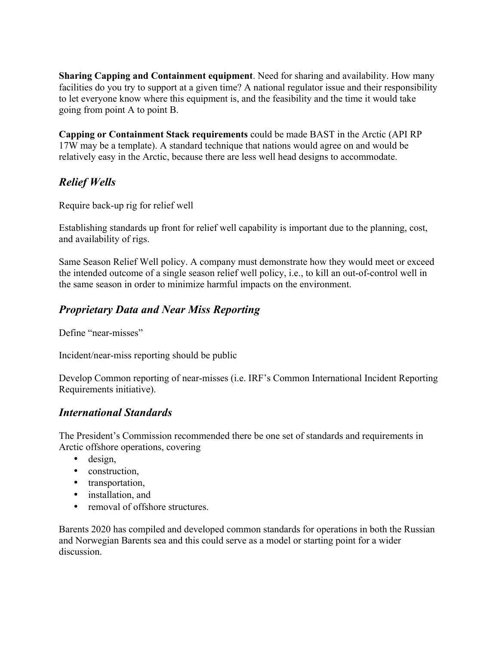**Sharing Capping and Containment equipment**. Need for sharing and availability. How many facilities do you try to support at a given time? A national regulator issue and their responsibility to let everyone know where this equipment is, and the feasibility and the time it would take going from point A to point B.

**Capping or Containment Stack requirements** could be made BAST in the Arctic (API RP 17W may be a template). A standard technique that nations would agree on and would be relatively easy in the Arctic, because there are less well head designs to accommodate.

# *Relief Wells*

Require back-up rig for relief well

Establishing standards up front for relief well capability is important due to the planning, cost, and availability of rigs.

Same Season Relief Well policy. A company must demonstrate how they would meet or exceed the intended outcome of a single season relief well policy, i.e., to kill an out-of-control well in the same season in order to minimize harmful impacts on the environment.

# *Proprietary Data and Near Miss Reporting*

Define "near-misses"

Incident/near-miss reporting should be public

Develop Common reporting of near-misses (i.e. IRF's Common International Incident Reporting Requirements initiative).

# *International Standards*

The President's Commission recommended there be one set of standards and requirements in Arctic offshore operations, covering

- design,
- construction,
- transportation,
- installation, and
- removal of offshore structures.

Barents 2020 has compiled and developed common standards for operations in both the Russian and Norwegian Barents sea and this could serve as a model or starting point for a wider discussion.